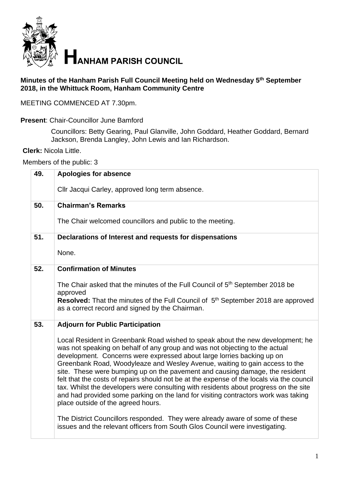

## **Minutes of the Hanham Parish Full Council Meeting held on Wednesday 5 th September 2018, in the Whittuck Room, Hanham Community Centre**

MEETING COMMENCED AT 7.30pm.

**Present**: Chair-Councillor June Bamford

Councillors: Betty Gearing, Paul Glanville, John Goddard, Heather Goddard, Bernard Jackson, Brenda Langley, John Lewis and Ian Richardson.

**Clerk:** Nicola Little.

Members of the public: 3

| 49. | <b>Apologies for absence</b>                                                                                                                                                                                                                                                                                                                                                                                                                                                                                                                                                                                                                                                                                            |
|-----|-------------------------------------------------------------------------------------------------------------------------------------------------------------------------------------------------------------------------------------------------------------------------------------------------------------------------------------------------------------------------------------------------------------------------------------------------------------------------------------------------------------------------------------------------------------------------------------------------------------------------------------------------------------------------------------------------------------------------|
|     | Cllr Jacqui Carley, approved long term absence.                                                                                                                                                                                                                                                                                                                                                                                                                                                                                                                                                                                                                                                                         |
| 50. | <b>Chairman's Remarks</b>                                                                                                                                                                                                                                                                                                                                                                                                                                                                                                                                                                                                                                                                                               |
|     | The Chair welcomed councillors and public to the meeting.                                                                                                                                                                                                                                                                                                                                                                                                                                                                                                                                                                                                                                                               |
| 51. | Declarations of Interest and requests for dispensations                                                                                                                                                                                                                                                                                                                                                                                                                                                                                                                                                                                                                                                                 |
|     | None.                                                                                                                                                                                                                                                                                                                                                                                                                                                                                                                                                                                                                                                                                                                   |
| 52. | <b>Confirmation of Minutes</b>                                                                                                                                                                                                                                                                                                                                                                                                                                                                                                                                                                                                                                                                                          |
|     | The Chair asked that the minutes of the Full Council of 5 <sup>th</sup> September 2018 be<br>approved<br><b>Resolved:</b> That the minutes of the Full Council of 5 <sup>th</sup> September 2018 are approved                                                                                                                                                                                                                                                                                                                                                                                                                                                                                                           |
|     | as a correct record and signed by the Chairman.                                                                                                                                                                                                                                                                                                                                                                                                                                                                                                                                                                                                                                                                         |
| 53. | <b>Adjourn for Public Participation</b>                                                                                                                                                                                                                                                                                                                                                                                                                                                                                                                                                                                                                                                                                 |
|     | Local Resident in Greenbank Road wished to speak about the new development; he<br>was not speaking on behalf of any group and was not objecting to the actual<br>development. Concerns were expressed about large lorries backing up on<br>Greenbank Road, Woodyleaze and Wesley Avenue, waiting to gain access to the<br>site. These were bumping up on the pavement and causing damage, the resident<br>felt that the costs of repairs should not be at the expense of the locals via the council<br>tax. Whilst the developers were consulting with residents about progress on the site<br>and had provided some parking on the land for visiting contractors work was taking<br>place outside of the agreed hours. |
|     | The District Councillors responded. They were already aware of some of these<br>issues and the relevant officers from South Glos Council were investigating.                                                                                                                                                                                                                                                                                                                                                                                                                                                                                                                                                            |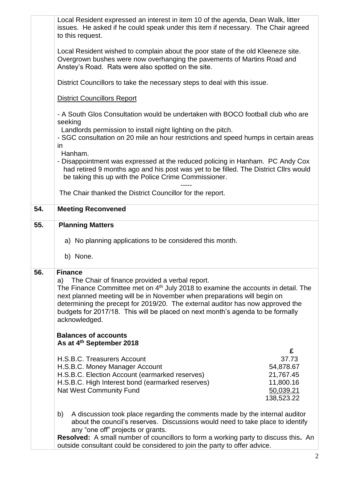|     | Local Resident expressed an interest in item 10 of the agenda, Dean Walk, litter<br>issues. He asked if he could speak under this item if necessary. The Chair agreed<br>to this request.                                                                                                                                                                                                                                                |                                                                              |
|-----|------------------------------------------------------------------------------------------------------------------------------------------------------------------------------------------------------------------------------------------------------------------------------------------------------------------------------------------------------------------------------------------------------------------------------------------|------------------------------------------------------------------------------|
|     | Local Resident wished to complain about the poor state of the old Kleeneze site.<br>Overgrown bushes were now overhanging the pavements of Martins Road and<br>Anstey's Road. Rats were also spotted on the site.                                                                                                                                                                                                                        |                                                                              |
|     | District Councillors to take the necessary steps to deal with this issue.                                                                                                                                                                                                                                                                                                                                                                |                                                                              |
|     | <b>District Councillors Report</b>                                                                                                                                                                                                                                                                                                                                                                                                       |                                                                              |
|     | - A South Glos Consultation would be undertaken with BOCO football club who are<br>seeking                                                                                                                                                                                                                                                                                                                                               |                                                                              |
|     | Landlords permission to install night lighting on the pitch.<br>- SGC consultation on 20 mile an hour restrictions and speed humps in certain areas<br>in                                                                                                                                                                                                                                                                                |                                                                              |
|     | Hanham.<br>- Disappointment was expressed at the reduced policing in Hanham. PC Andy Cox<br>had retired 9 months ago and his post was yet to be filled. The District Cllrs would<br>be taking this up with the Police Crime Commissioner.                                                                                                                                                                                                |                                                                              |
|     | The Chair thanked the District Councillor for the report.                                                                                                                                                                                                                                                                                                                                                                                |                                                                              |
| 54. | <b>Meeting Reconvened</b>                                                                                                                                                                                                                                                                                                                                                                                                                |                                                                              |
| 55. | <b>Planning Matters</b>                                                                                                                                                                                                                                                                                                                                                                                                                  |                                                                              |
|     | a) No planning applications to be considered this month.                                                                                                                                                                                                                                                                                                                                                                                 |                                                                              |
|     | b) None.                                                                                                                                                                                                                                                                                                                                                                                                                                 |                                                                              |
| 56. | <b>Finance</b><br>The Chair of finance provided a verbal report.<br>a)<br>The Finance Committee met on 4 <sup>th</sup> July 2018 to examine the accounts in detail. The<br>next planned meeting will be in November when preparations will begin on<br>determining the precept for 2019/20. The external auditor has now approved the<br>budgets for 2017/18. This will be placed on next month's agenda to be formally<br>acknowledged. |                                                                              |
|     | <b>Balances of accounts</b><br>As at 4 <sup>th</sup> September 2018                                                                                                                                                                                                                                                                                                                                                                      |                                                                              |
|     | H.S.B.C. Treasurers Account<br>H.S.B.C. Money Manager Account<br>H.S.B.C. Election Account (earmarked reserves)<br>H.S.B.C. High Interest bond (earmarked reserves)<br><b>Nat West Community Fund</b>                                                                                                                                                                                                                                    | £<br>37.73<br>54,878.67<br>21,767.45<br>11,800.16<br>50,039.21<br>138,523.22 |
|     | A discussion took place regarding the comments made by the internal auditor<br>b)<br>about the council's reserves. Discussions would need to take place to identify<br>any "one off" projects or grants.                                                                                                                                                                                                                                 |                                                                              |
|     | <b>Resolved:</b> A small number of councillors to form a working party to discuss this. An<br>outside consultant could be considered to join the party to offer advice.                                                                                                                                                                                                                                                                  |                                                                              |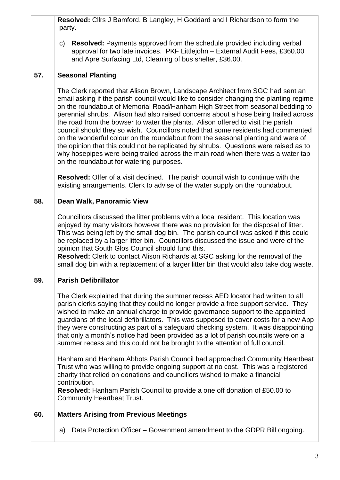|     | Resolved: Cllrs J Bamford, B Langley, H Goddard and I Richardson to form the<br>party.                                                                                                                                                                                                                                                                                                                                                                                                                                                                                                                                                                                                                                                                                                                                                |
|-----|---------------------------------------------------------------------------------------------------------------------------------------------------------------------------------------------------------------------------------------------------------------------------------------------------------------------------------------------------------------------------------------------------------------------------------------------------------------------------------------------------------------------------------------------------------------------------------------------------------------------------------------------------------------------------------------------------------------------------------------------------------------------------------------------------------------------------------------|
|     | Resolved: Payments approved from the schedule provided including verbal<br>$\mathsf{C}$<br>approval for two late invoices. PKF Littlejohn - External Audit Fees, £360.00<br>and Apre Surfacing Ltd, Cleaning of bus shelter, £36.00.                                                                                                                                                                                                                                                                                                                                                                                                                                                                                                                                                                                                  |
| 57. | <b>Seasonal Planting</b>                                                                                                                                                                                                                                                                                                                                                                                                                                                                                                                                                                                                                                                                                                                                                                                                              |
|     | The Clerk reported that Alison Brown, Landscape Architect from SGC had sent an<br>email asking if the parish council would like to consider changing the planting regime<br>on the roundabout of Memorial Road/Hanham High Street from seasonal bedding to<br>perennial shrubs. Alison had also raised concerns about a hose being trailed across<br>the road from the bowser to water the plants. Alison offered to visit the parish<br>council should they so wish. Councillors noted that some residents had commented<br>on the wonderful colour on the roundabout from the seasonal planting and were of<br>the opinion that this could not be replicated by shrubs. Questions were raised as to<br>why hosepipes were being trailed across the main road when there was a water tap<br>on the roundabout for watering purposes. |
|     | <b>Resolved:</b> Offer of a visit declined. The parish council wish to continue with the<br>existing arrangements. Clerk to advise of the water supply on the roundabout.                                                                                                                                                                                                                                                                                                                                                                                                                                                                                                                                                                                                                                                             |
| 58. | Dean Walk, Panoramic View                                                                                                                                                                                                                                                                                                                                                                                                                                                                                                                                                                                                                                                                                                                                                                                                             |
|     | Councillors discussed the litter problems with a local resident. This location was<br>enjoyed by many visitors however there was no provision for the disposal of litter.<br>This was being left by the small dog bin. The parish council was asked if this could<br>be replaced by a larger litter bin. Councillors discussed the issue and were of the<br>opinion that South Glos Council should fund this.<br><b>Resolved:</b> Clerk to contact Alison Richards at SGC asking for the removal of the<br>small dog bin with a replacement of a larger litter bin that would also take dog waste.                                                                                                                                                                                                                                    |
| 59. | <b>Parish Defibrillator</b>                                                                                                                                                                                                                                                                                                                                                                                                                                                                                                                                                                                                                                                                                                                                                                                                           |
|     | The Clerk explained that during the summer recess AED locator had written to all<br>parish clerks saying that they could no longer provide a free support service. They<br>wished to make an annual charge to provide governance support to the appointed<br>guardians of the local defibrillators. This was supposed to cover costs for a new App<br>they were constructing as part of a safeguard checking system. It was disappointing<br>that only a month's notice had been provided as a lot of parish councils were on a<br>summer recess and this could not be brought to the attention of full council.                                                                                                                                                                                                                      |
|     | Hanham and Hanham Abbots Parish Council had approached Community Heartbeat<br>Trust who was willing to provide ongoing support at no cost. This was a registered<br>charity that relied on donations and councillors wished to make a financial<br>contribution.<br><b>Resolved:</b> Hanham Parish Council to provide a one off donation of £50.00 to<br><b>Community Heartbeat Trust.</b>                                                                                                                                                                                                                                                                                                                                                                                                                                            |
| 60. | <b>Matters Arising from Previous Meetings</b>                                                                                                                                                                                                                                                                                                                                                                                                                                                                                                                                                                                                                                                                                                                                                                                         |
|     | Data Protection Officer – Government amendment to the GDPR Bill ongoing.<br>a)                                                                                                                                                                                                                                                                                                                                                                                                                                                                                                                                                                                                                                                                                                                                                        |